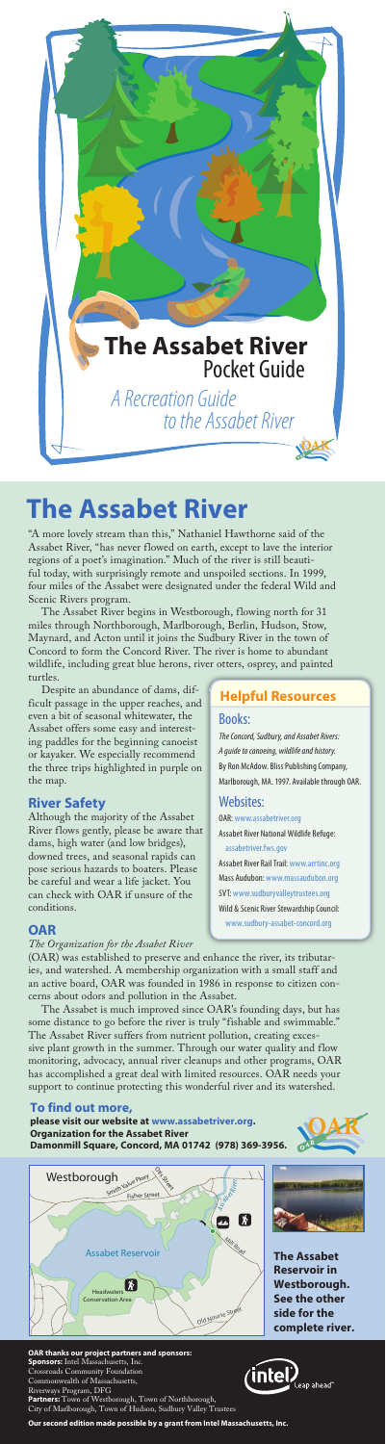"A more lovely stream than this," Nathaniel Hawthorne said of the Assabet River, "has never flowed on earth, except to lave the interior regions of a poet's imagination." Much of the river is still beautiful today, with surprisingly remote and unspoiled sections. In 1999, four miles of the Assabet were designated under the federal Wild and Scenic Rivers program.

The Assabet River begins in Westborough, flowing north for 31 miles through Northborough, Marlborough, Berlin, Hudson, Stow, Maynard, and Acton until it joins the Sudbury River in the town of Concord to form the Concord River. The river is home to abundant wildlife, including great blue herons, river otters, osprey, and painted turtles.

Despite an abundance of dams, difficult passage in the upper reaches, and even a bit of seasonal whitewater, the Assabet offers some easy and interesting paddles for the beginning canoeist or kayaker. We especially recommend the three trips highlighted in purple on the map.

#### **River Safety**

Although the majority of the Assabet River flows gently, please be aware that dams, high water (and low bridges), downed trees, and seasonal rapids can pose serious hazards to boaters. Please be careful and wear a life jacket. You can check with OAR if unsure of the conditions.

#### **OAR**

#### *The Organization for the Assabet River*

(OAR) was established to preserve and enhance the river, its tributaries, and watershed. A membership organization with a small staff and an active board, OAR was founded in 1986 in response to citizen concerns about odors and pollution in the Assabet. The Assabet is much improved since OAR's founding days, but has some distance to go before the river is truly "fishable and swimmable." The Assabet River suffers from nutrient pollution, creating excessive plant growth in the summer. Through our water quality and flow monitoring, advocacy, annual river cleanups and other programs, OAR has accomplished a great deal with limited resources. OAR needs your support to continue protecting this wonderful river and its watershed.

# **The Assabet River**





#### **OAR thanks our project partners and sponsors:**

**Sponsors:** Intel Massachusetts, Inc. Crossroads Community Foundation Commonwealth of Massachusetts, Riverways Program, DFG **Partners:** Town of Westborough, Town of Northborough, City of Marlborough, Town of Hudson, Sudbury Valley Trustees



**Our second edition made possible by a grant from Intel Massachusetts, Inc.**

### Books:

*The Concord, Sudbury, and Assabet Rivers: A guide to canoeing, wildlife and history.* By Ron McAdow. Bliss Publishing Company, Marlborough, MA. 1997. Available through OAR.

### Websites:

OAR: www.assabetriver.org Assabet River National Wildlife Refuge: assabetriver.fws.gov

Assabet River Rail Trail: www.arrtinc.org Mass Audubon: www.massaudubon.org SVT: www.sudburyvalleytrustees.org Wild & Scenic River Stewardship Council: www.sudbury-assabet-concord.org

## **Helpful Resources**

**The Assabet Reservoir in Westborough. See the other side for the complete river.**



#### **To find out more,**

**please visit our website at www.assabetriver.org. Organization for the Assabet River Damonmill Square, Concord, MA 01742 (978) 369-3956.**